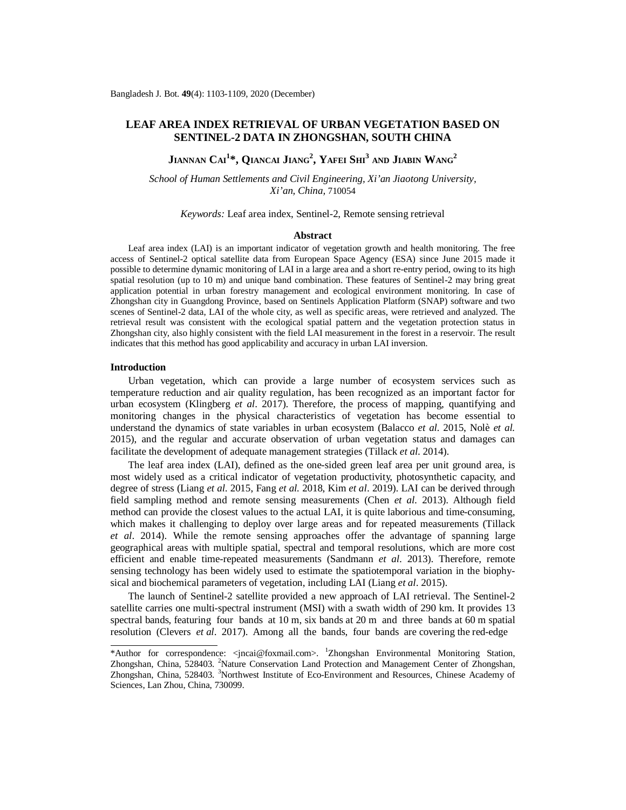# **LEAF AREA INDEX RETRIEVAL OF URBAN VEGETATION BASED ON SENTINEL-2 DATA IN ZHONGSHAN, SOUTH CHINA**

**JIANNAN CAI<sup>1</sup> \*, QIANCAI JIANG<sup>2</sup> , YAFEI SHI<sup>3</sup> AND JIABIN WANG<sup>2</sup>**

*School of Human Settlements and Civil Engineering, Xi'an Jiaotong University, Xi'an, China,* 710054

*Keywords:* Leaf area index, Sentinel-2, Remote sensing retrieval

# **Abstract**

Leaf area index (LAI) is an important indicator of vegetation growth and health monitoring. The free access of Sentinel-2 optical satellite data from European Space Agency (ESA) since June 2015 made it possible to determine dynamic monitoring of LAI in a large area and a short re-entry period, owing to its high spatial resolution (up to 10 m) and unique band combination. These features of Sentinel-2 may bring great application potential in urban forestry management and ecological environment monitoring. In case of Zhongshan city in Guangdong Province, based on Sentinels Application Platform (SNAP) software and two scenes of Sentinel-2 data, LAI of the whole city, as well as specific areas, were retrieved and analyzed. The retrieval result was consistent with the ecological spatial pattern and the vegetation protection status in Zhongshan city, also highly consistent with the field LAI measurement in the forest in a reservoir. The result indicates that this method has good applicability and accuracy in urban LAI inversion.

#### **Introduction**

Urban vegetation, which can provide a large number of ecosystem services such as temperature reduction and air quality regulation, has been recognized as an important factor for urban ecosystem (Klingberg *et al*. 2017). Therefore, the process of mapping, quantifying and monitoring changes in the physical characteristics of vegetation has become essential to understand the dynamics of state variables in urban ecosystem (Balacco *et al.* 2015, Nolè *et al.*  2015), and the regular and accurate observation of urban vegetation status and damages can facilitate the development of adequate management strategies (Tillack *et al*. 2014).

The leaf area index (LAI), defined as the one-sided green leaf area per unit ground area, is most widely used as a critical indicator of vegetation productivity, photosynthetic capacity, and degree of stress (Liang *et al*. 2015, Fang *et al.* 2018, Kim *et al*. 2019). LAI can be derived through field sampling method and remote sensing measurements (Chen *et al*. 2013). Although field method can provide the closest values to the actual LAI, it is quite laborious and time-consuming, which makes it challenging to deploy over large areas and for repeated measurements (Tillack *et al*. 2014). While the remote sensing approaches offer the advantage of spanning large geographical areas with multiple spatial, spectral and temporal resolutions, which are more cost efficient and enable time-repeated measurements (Sandmann *et al*. 2013). Therefore, remote sensing technology has been widely used to estimate the spatiotemporal variation in the biophysical and biochemical parameters of vegetation, including LAI (Liang *et al*. 2015).

The launch of Sentinel-2 satellite provided a new approach of LAI retrieval. The Sentinel-2 satellite carries one multi-spectral instrument (MSI) with a swath width of 290 km. It provides 13 spectral bands, featuring four bands at 10 m, six bands at 20 m and three bands at 60 m spatial resolution (Clevers *et al*. 2017). Among all the bands, four bands are covering the red-edge

<sup>\*</sup>Author for correspondence: [<jncai@foxmail.com>](mailto:jncai@foxmail.com). <sup>1</sup>Zhongshan Environmental Monitoring Station, Zhongshan, China, 528403. <sup>2</sup>Nature Conservation Land Protection and Management Center of Zhongshan, Zhongshan, China, 528403. <sup>3</sup>Northwest Institute of Eco-Environment and Resources, Chinese Academy of Sciences, Lan Zhou, China, 730099.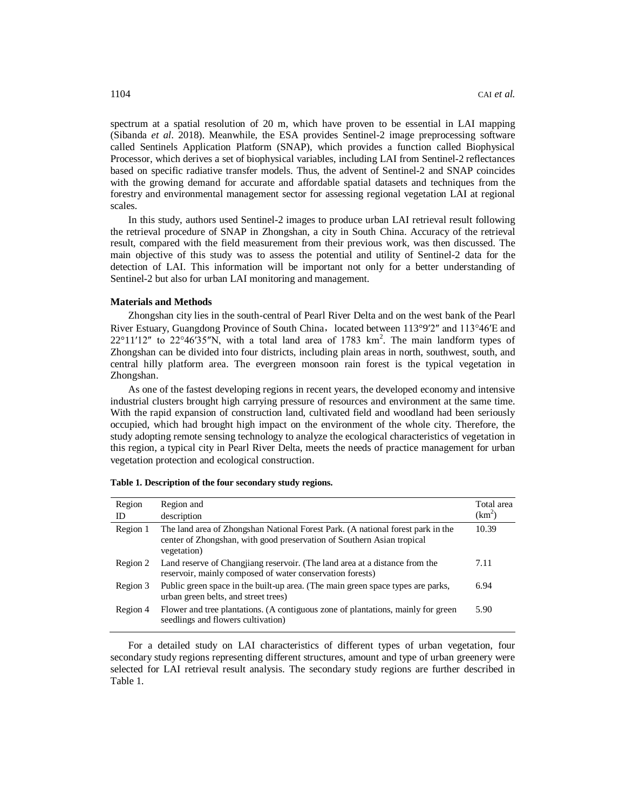spectrum at a spatial resolution of 20 m, which have proven to be essential in LAI mapping (Sibanda *et al*. 2018). Meanwhile, the ESA provides Sentinel-2 image preprocessing software called Sentinels Application Platform (SNAP), which provides a function called Biophysical Processor, which derives a set of biophysical variables, including LAI from Sentinel-2 reflectances based on specific radiative transfer models. Thus, the advent of Sentinel-2 and SNAP coincides with the growing demand for accurate and affordable spatial datasets and techniques from the forestry and environmental management sector for assessing regional vegetation LAI at regional scales.

In this study, authors used Sentinel-2 images to produce urban LAI retrieval result following the retrieval procedure of SNAP in Zhongshan, a city in South China. Accuracy of the retrieval result, compared with the field measurement from their previous work, was then discussed. The main objective of this study was to assess the potential and utility of Sentinel-2 data for the detection of LAI. This information will be important not only for a better understanding of Sentinel-2 but also for urban LAI monitoring and management.

# **Materials and Methods**

Zhongshan city lies in the south-central of Pearl River Delta and on the west bank of the Pearl River Estuary, Guangdong Province of South China, located between 113°9′2″ and 113°46′E and  $22^{\circ}11'12''$  to  $22^{\circ}46'35''N$ , with a total land area of 1783 km<sup>2</sup>. The main landform types of Zhongshan can be divided into four districts, including plain areas in north, southwest, south, and central hilly platform area. The evergreen monsoon rain forest is the typical vegetation in Zhongshan.

As one of the fastest developing regions in recent years, the developed economy and intensive industrial clusters brought high carrying pressure of resources and environment at the same time. With the rapid expansion of construction land, cultivated field and woodland had been seriously occupied, which had brought high impact on the environment of the whole city. Therefore, the study adopting remote sensing technology to analyze the ecological characteristics of vegetation in this region, a typical city in Pearl River Delta, meets the needs of practice management for urban vegetation protection and ecological construction.

| Region   | Region and                                                                                                                                                               | Total area         |
|----------|--------------------------------------------------------------------------------------------------------------------------------------------------------------------------|--------------------|
| ID       | description                                                                                                                                                              | (km <sup>2</sup> ) |
| Region 1 | The land area of Zhongshan National Forest Park. (A national forest park in the<br>center of Zhongshan, with good preservation of Southern Asian tropical<br>vegetation) | 10.39              |
| Region 2 | Land reserve of Changjiang reservoir. (The land area at a distance from the<br>reservoir, mainly composed of water conservation forests)                                 | 7.11               |
| Region 3 | Public green space in the built-up area. (The main green space types are parks,<br>urban green belts, and street trees)                                                  | 6.94               |
| Region 4 | Flower and tree plantations. (A contiguous zone of plantations, mainly for green<br>seedlings and flowers cultivation)                                                   | 5.90               |

|  |  | Table 1. Description of the four secondary study regions. |  |
|--|--|-----------------------------------------------------------|--|
|  |  |                                                           |  |

For a detailed study on LAI characteristics of different types of urban vegetation, four secondary study regions representing different structures, amount and type of urban greenery were selected for LAI retrieval result analysis. The secondary study regions are further described in Table 1.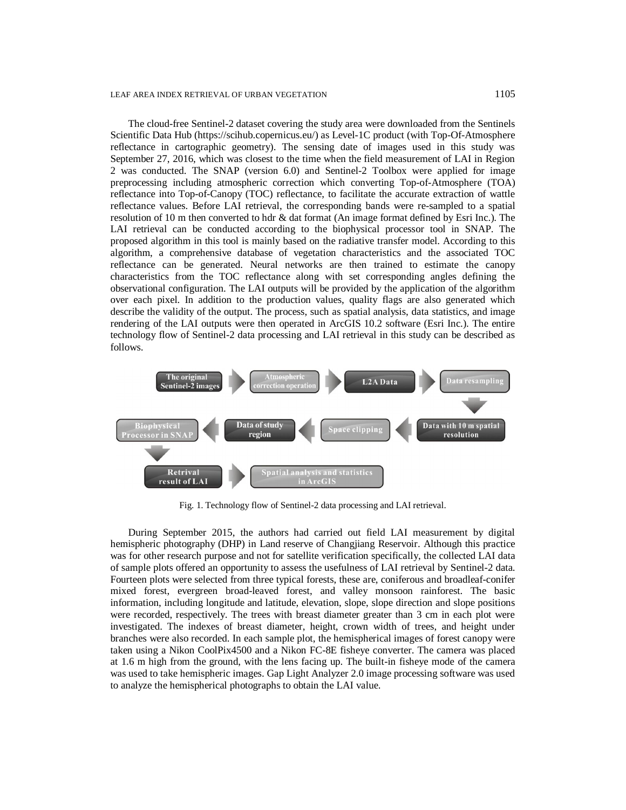The cloud-free Sentinel-2 dataset covering the study area were downloaded from the Sentinels Scientific Data Hub [\(https://scihub.copernicus.eu/\)](https://scihub.copernicus.eu/)) as Level-1C product (with Top-Of-Atmosphere reflectance in cartographic geometry). The sensing date of images used in this study was September 27, 2016, which was closest to the time when the field measurement of LAI in Region 2 was conducted. The SNAP (version 6.0) and Sentinel-2 Toolbox were applied for image preprocessing including atmospheric correction which converting Top-of-Atmosphere (TOA) reflectance into Top-of-Canopy (TOC) reflectance, to facilitate the accurate extraction of wattle reflectance values. Before LAI retrieval, the corresponding bands were re-sampled to a spatial resolution of 10 m then converted to hdr & dat format (An image format defined by Esri Inc.). The LAI retrieval can be conducted according to the biophysical processor tool in SNAP. The proposed algorithm in this tool is mainly based on the radiative transfer model. According to this algorithm, a comprehensive database of vegetation characteristics and the associated TOC reflectance can be generated. Neural networks are then trained to estimate the canopy characteristics from the TOC reflectance along with set corresponding angles defining the observational configuration. The LAI outputs will be provided by the application of the algorithm over each pixel. In addition to the production values, quality flags are also generated which describe the validity of the output. The process, such as spatial analysis, data statistics, and image rendering of the LAI outputs were then operated in ArcGIS 10.2 software (Esri Inc.). The entire technology flow of Sentinel-2 data processing and LAI retrieval in this study can be described as follows.



Fig. 1. Technology flow of Sentinel-2 data processing and LAI retrieval.

During September 2015, the authors had carried out field LAI measurement by digital hemispheric photography (DHP) in Land reserve of Changjiang Reservoir. Although this practice was for other research purpose and not for satellite verification specifically, the collected LAI data of sample plots offered an opportunity to assess the usefulness of LAI retrieval by Sentinel-2 data. Fourteen plots were selected from three typical forests, these are, coniferous and broadleaf-conifer mixed forest, evergreen broad-leaved forest, and valley monsoon rainforest. The basic information, including longitude and latitude, elevation, slope, slope direction and slope positions were recorded, respectively. The trees with breast diameter greater than 3 cm in each plot were investigated. The indexes of breast diameter, height, crown width of trees, and height under branches were also recorded. In each sample plot, the hemispherical images of forest canopy were taken using a Nikon CoolPix4500 and a Nikon FC-8E fisheye converter. The camera was placed at 1.6 m high from the ground, with the lens facing up. The built-in fisheye mode of the camera was used to take hemispheric images. Gap Light Analyzer 2.0 image processing software was used to analyze the hemispherical photographs to obtain the LAI value.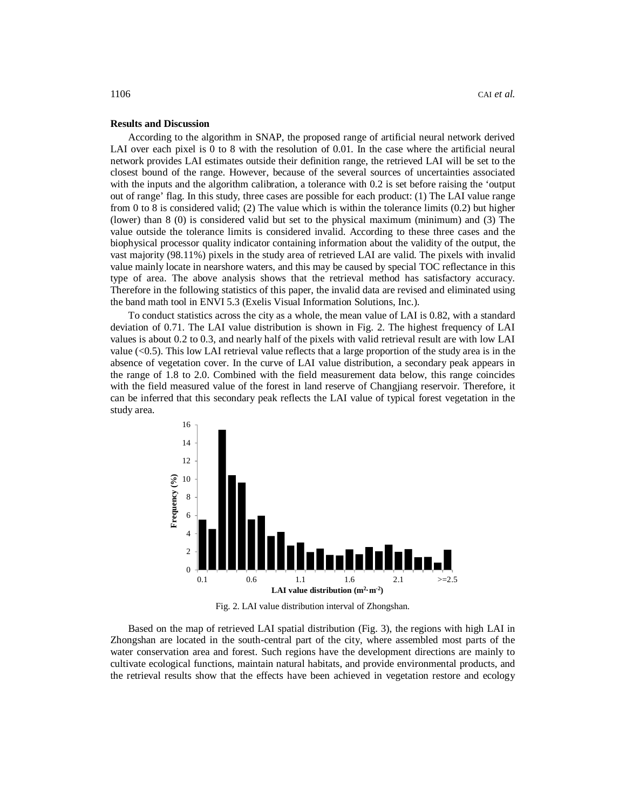#### **Results and Discussion**

According to the algorithm in SNAP, the proposed range of artificial neural network derived LAI over each pixel is 0 to 8 with the resolution of 0.01. In the case where the artificial neural network provides LAI estimates outside their definition range, the retrieved LAI will be set to the closest bound of the range. However, because of the several sources of uncertainties associated with the inputs and the algorithm calibration, a tolerance with 0.2 is set before raising the 'output out of range' flag. In this study, three cases are possible for each product: (1) The LAI value range from 0 to 8 is considered valid; (2) The value which is within the tolerance limits (0.2) but higher (lower) than 8 (0) is considered valid but set to the physical maximum (minimum) and (3) The value outside the tolerance limits is considered invalid. According to these three cases and the biophysical processor quality indicator containing information about the validity of the output, the vast majority (98.11%) pixels in the study area of retrieved LAI are valid. The pixels with invalid value mainly locate in nearshore waters, and this may be caused by special TOC reflectance in this type of area. The above analysis shows that the retrieval method has satisfactory accuracy. Therefore in the following statistics of this paper, the invalid data are revised and eliminated using the band math tool in ENVI 5.3 (Exelis Visual Information Solutions, Inc.).

To conduct statistics across the city as a whole, the mean value of LAI is 0.82, with a standard deviation of 0.71. The LAI value distribution is shown in Fig. 2. The highest frequency of LAI values is about 0.2 to 0.3, and nearly half of the pixels with valid retrieval result are with low LAI value  $(<0.5)$ . This low LAI retrieval value reflects that a large proportion of the study area is in the absence of vegetation cover. In the curve of LAI value distribution, a secondary peak appears in the range of 1.8 to 2.0. Combined with the field measurement data below, this range coincides with the field measured value of the forest in land reserve of Changjiang reservoir. Therefore, it can be inferred that this secondary peak reflects the LAI value of typical forest vegetation in the study area.



Fig. 2. LAI value distribution interval of Zhongshan.

Based on the map of retrieved LAI spatial distribution (Fig. 3), the regions with high LAI in Zhongshan are located in the south-central part of the city, where assembled most parts of the water conservation area and forest. Such regions have the development directions are mainly to cultivate ecological functions, maintain natural habitats, and provide environmental products, and the retrieval results show that the effects have been achieved in vegetation restore and ecology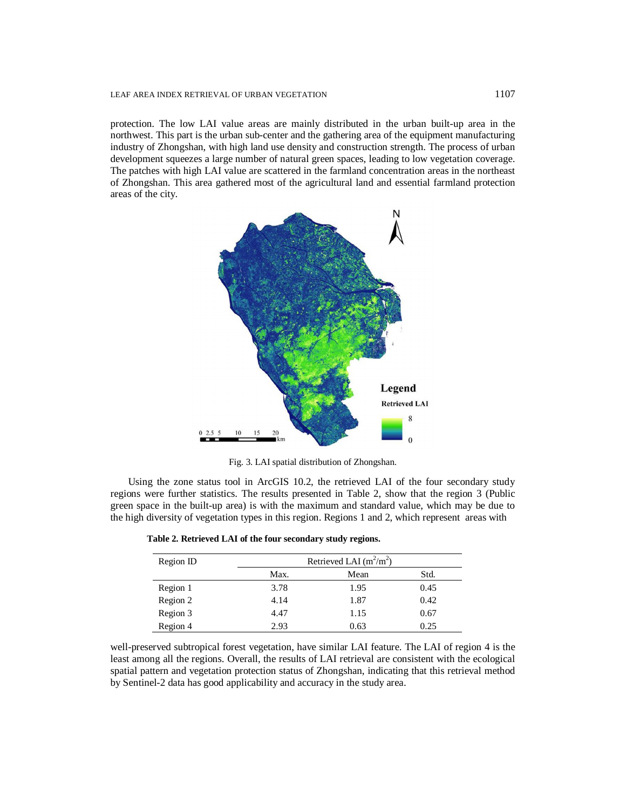#### LEAF AREA INDEX RETRIEVAL OF URBAN VEGETATION 1107

protection. The low LAI value areas are mainly distributed in the urban built-up area in the northwest. This part is the urban sub-center and the gathering area of the equipment manufacturing industry of Zhongshan, with high land use density and construction strength. The process of urban development squeezes a large number of natural green spaces, leading to low vegetation coverage. The patches with high LAI value are scattered in the farmland concentration areas in the northeast of Zhongshan. This area gathered most of the agricultural land and essential farmland protection areas of the city.



Fig. 3. LAI spatial distribution of Zhongshan.

Using the zone status tool in ArcGIS 10.2, the retrieved LAI of the four secondary study regions were further statistics. The results presented in Table 2, show that the region 3 (Public green space in the built-up area) is with the maximum and standard value, which may be due to the high diversity of vegetation types in this region. Regions 1 and 2, which represent areas with

| Table 2. Retrieved LAI of the four secondary study regions. |  |  |  |
|-------------------------------------------------------------|--|--|--|
|-------------------------------------------------------------|--|--|--|

| Region ID | Retrieved LAI $(m^2/m^2)$ |      |      |  |
|-----------|---------------------------|------|------|--|
|           | Max.                      | Mean | Std. |  |
| Region 1  | 3.78                      | 1.95 | 0.45 |  |
| Region 2  | 4.14                      | 1.87 | 0.42 |  |
| Region 3  | 4.47                      | 1.15 | 0.67 |  |
| Region 4  | 2.93                      | 0.63 | 0.25 |  |

well-preserved subtropical forest vegetation, have similar LAI feature. The LAI of region 4 is the least among all the regions. Overall, the results of LAI retrieval are consistent with the ecological spatial pattern and vegetation protection status of Zhongshan, indicating that this retrieval method by Sentinel-2 data has good applicability and accuracy in the study area.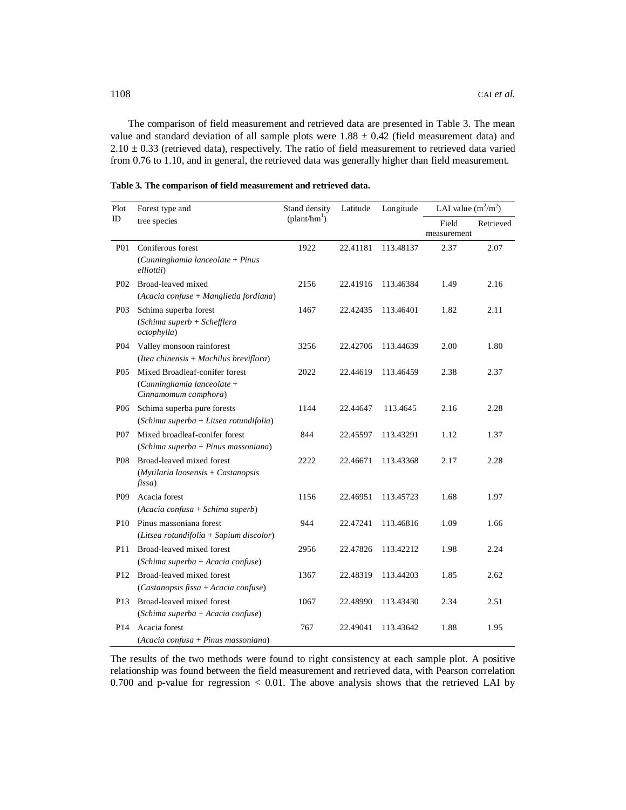The comparison of field measurement and retrieved data are presented in Table 3. The mean value and standard deviation of all sample plots were  $1.88 \pm 0.42$  (field measurement data) and  $2.10 \pm 0.33$  (retrieved data), respectively. The ratio of field measurement to retrieved data varied from 0.76 to 1.10, and in general, the retrieved data was generally higher than field measurement.

| Plot             | Forest type and                                                                      | Stand density<br>(plant/hm <sup>1</sup> ) | Latitude | Longitude | LAI value $(m^2/m^2)$ |           |
|------------------|--------------------------------------------------------------------------------------|-------------------------------------------|----------|-----------|-----------------------|-----------|
| ID               | tree species                                                                         |                                           |          |           | Field<br>measurement  | Retrieved |
| <b>P01</b>       | Coniferous forest<br>(Cunninghamia lanceolate + Pinus<br>elliottii)                  | 1922                                      | 22.41181 | 113.48137 | 2.37                  | 2.07      |
| P <sub>0</sub> 2 | Broad-leaved mixed<br>(Acacia confuse + Manglietia fordiana)                         | 2156                                      | 22.41916 | 113.46384 | 1.49                  | 2.16      |
| P <sub>0</sub> 3 | Schima superba forest<br>(Schima superb + Schefflera<br><i>octophylla</i> )          | 1467                                      | 22.42435 | 113.46401 | 1.82                  | 2.11      |
| <b>P04</b>       | Valley monsoon rainforest<br>$(It can chinensis + Machilus breviflora)$              | 3256                                      | 22.42706 | 113.44639 | 2.00                  | 1.80      |
| P <sub>05</sub>  | Mixed Broadleaf-conifer forest<br>(Cunninghamia lanceolate +<br>Cinnamomum camphora) | 2022                                      | 22.44619 | 113.46459 | 2.38                  | 2.37      |
| P <sub>06</sub>  | Schima superba pure forests<br>$(Schima superba + Litsea$ rotundifolia)              | 1144                                      | 22.44647 | 113.4645  | 2.16                  | 2.28      |
| <b>P07</b>       | Mixed broadleaf-conifer forest<br>$(Schima superba + Pinus massonian)$               | 844                                       | 22.45597 | 113.43291 | 1.12                  | 1.37      |
| <b>P08</b>       | Broad-leaved mixed forest<br>$(Mytilaria laosensis + Castanopsis$<br>fissa)          | 2222                                      | 22.46671 | 113.43368 | 2.17                  | 2.28      |
| P <sub>09</sub>  | Acacia forest<br>$(Acacia confusa + Schima superb)$                                  | 1156                                      | 22.46951 | 113.45723 | 1.68                  | 1.97      |
| P <sub>10</sub>  | Pinus massoniana forest<br>$(Litsea$ rotundifolia + Sapium discolor)                 | 944                                       | 22.47241 | 113.46816 | 1.09                  | 1.66      |
| P11              | Broad-leaved mixed forest<br>(Schima superba + Acacia confuse)                       | 2956                                      | 22.47826 | 113.42212 | 1.98                  | 2.24      |
| P <sub>12</sub>  | Broad-leaved mixed forest<br>(Castanopsis fissa + Acacia confuse)                    | 1367                                      | 22.48319 | 113.44203 | 1.85                  | 2.62      |
| P <sub>13</sub>  | Broad-leaved mixed forest<br>(Schima superba + Acacia confuse)                       | 1067                                      | 22.48990 | 113.43430 | 2.34                  | 2.51      |
| P <sub>14</sub>  | Acacia forest<br>(Acacia confusa + Pinus massoniana)                                 | 767                                       | 22.49041 | 113.43642 | 1.88                  | 1.95      |

**Table 3. The comparison of field measurement and retrieved data.**

The results of the two methods were found to right consistency at each sample plot. A positive relationship was found between the field measurement and retrieved data, with Pearson correlation 0.700 and p-value for regression < 0.01. The above analysis shows that the retrieved LAI by